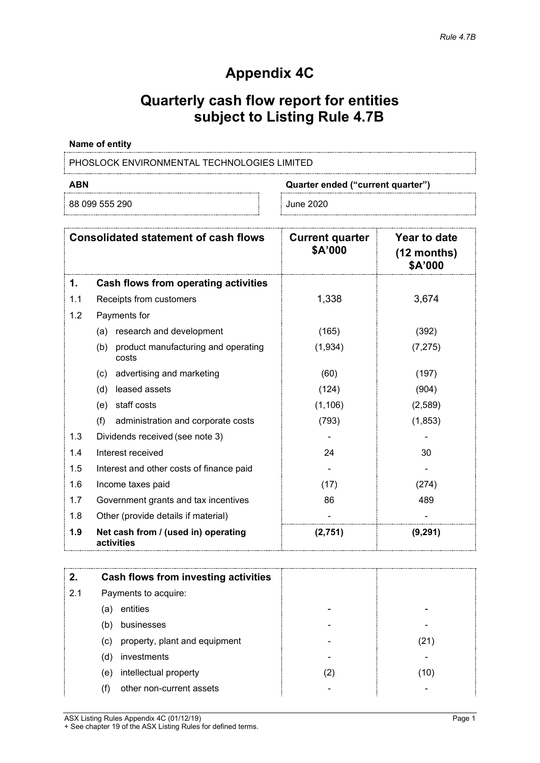## **Appendix 4C**

# **Quarterly cash flow report for entities subject to Listing Rule 4.7B**

#### **Name of entity**

PHOSLOCK ENVIRONMENTAL TECHNOLOGIES LIMITED

88 099 555 290 June 2020

**ABN Quarter ended ("current quarter")**

| <b>Consolidated statement of cash flows</b> |                                                     | <b>Current quarter</b><br>\$A'000 | Year to date<br>$(12$ months)<br>\$A'000 |
|---------------------------------------------|-----------------------------------------------------|-----------------------------------|------------------------------------------|
| 1.                                          | Cash flows from operating activities                |                                   |                                          |
| 1.1                                         | Receipts from customers                             | 1,338                             | 3,674                                    |
| 1.2                                         | Payments for                                        |                                   |                                          |
|                                             | research and development<br>(a)                     | (165)                             | (392)                                    |
|                                             | product manufacturing and operating<br>(b)<br>costs | (1,934)                           | (7, 275)                                 |
|                                             | advertising and marketing<br>(c)                    | (60)                              | (197)                                    |
|                                             | leased assets<br>(d)                                | (124)                             | (904)                                    |
|                                             | staff costs<br>(e)                                  | (1, 106)                          | (2,589)                                  |
|                                             | (f)<br>administration and corporate costs           | (793)                             | (1, 853)                                 |
| 1.3                                         | Dividends received (see note 3)                     |                                   |                                          |
| 1.4                                         | Interest received                                   | 24                                | 30                                       |
| 1.5                                         | Interest and other costs of finance paid            |                                   |                                          |
| 1.6                                         | Income taxes paid                                   | (17)                              | (274)                                    |
| 1.7                                         | Government grants and tax incentives                | 86                                | 489                                      |
| 1.8                                         | Other (provide details if material)                 |                                   |                                          |
| 1.9                                         | Net cash from / (used in) operating<br>activities   | (2,751)                           | (9, 291)                                 |

|     | Cash flows from investing activities |     |     |
|-----|--------------------------------------|-----|-----|
| 2.1 | Payments to acquire:                 |     |     |
|     | entities<br>(a)                      |     |     |
|     | businesses<br>(b)                    |     |     |
|     | property, plant and equipment<br>(c) |     | 21  |
|     | investments<br>(d)                   |     |     |
|     | intellectual property<br>(e)         | (2) | 10) |
|     | other non-current assets             |     |     |

ASX Listing Rules Appendix 4C (01/12/19) Page 1 + See chapter 19 of the ASX Listing Rules for defined terms.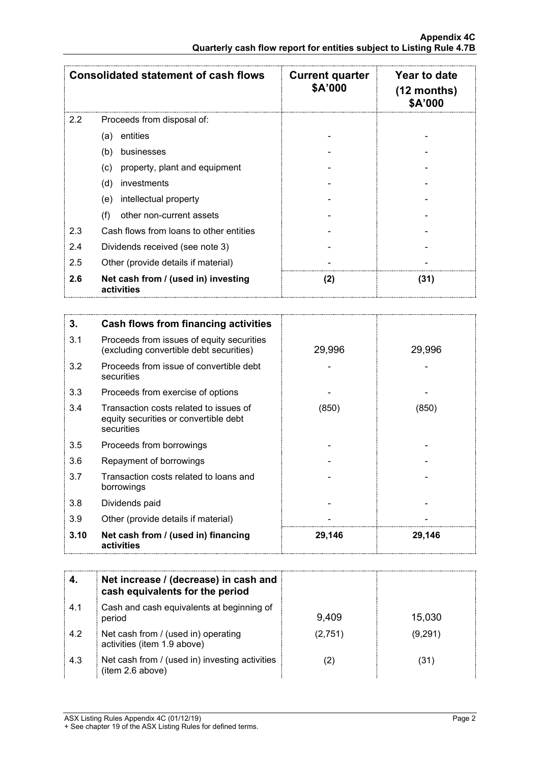| <b>Consolidated statement of cash flows</b>              |                                         | <b>Current quarter</b><br>\$A'000 | Year to date<br>$(12$ months)<br><b>\$A'000</b> |
|----------------------------------------------------------|-----------------------------------------|-----------------------------------|-------------------------------------------------|
| 2.2                                                      | Proceeds from disposal of:              |                                   |                                                 |
|                                                          | entities<br>(a)                         |                                   |                                                 |
|                                                          | (b)<br>businesses                       |                                   |                                                 |
|                                                          | property, plant and equipment<br>(c)    |                                   |                                                 |
|                                                          | investments<br>(d)                      |                                   |                                                 |
|                                                          | intellectual property<br>(e)            |                                   |                                                 |
|                                                          | (f)<br>other non-current assets         |                                   |                                                 |
| 2.3                                                      | Cash flows from loans to other entities |                                   |                                                 |
| 2.4                                                      | Dividends received (see note 3)         |                                   |                                                 |
| 2.5<br>Other (provide details if material)               |                                         |                                   |                                                 |
| 2.6<br>Net cash from / (used in) investing<br>activities |                                         | (2)                               | (31)                                            |

| 3.   | Cash flows from financing activities                                                          |        |        |
|------|-----------------------------------------------------------------------------------------------|--------|--------|
| 3.1  | Proceeds from issues of equity securities<br>(excluding convertible debt securities)          | 29,996 | 29,996 |
| 3.2  | Proceeds from issue of convertible debt<br>securities                                         |        |        |
| 3.3  | Proceeds from exercise of options                                                             |        |        |
| 3.4  | Transaction costs related to issues of<br>equity securities or convertible debt<br>securities | (850)  | (850)  |
| 3.5  | Proceeds from borrowings                                                                      |        |        |
| 3.6  | Repayment of borrowings                                                                       |        |        |
| 3.7  | Transaction costs related to loans and<br>borrowings                                          |        |        |
| 3.8  | Dividends paid                                                                                |        |        |
| 3.9  | Other (provide details if material)                                                           |        |        |
| 3.10 | Net cash from / (used in) financing<br>activities                                             | 29,146 | 29,146 |

|      | Net increase / (decrease) in cash and<br>cash equivalents for the period |         |         |
|------|--------------------------------------------------------------------------|---------|---------|
| -4.1 | Cash and cash equivalents at beginning of<br>period                      | 9,409   | 15,030  |
| 4.2  | Net cash from / (used in) operating<br>activities (item 1.9 above)       | (2,751) | (9,291) |
| 4.3  | Net cash from / (used in) investing activities<br>(item 2.6 above)       |         | (31)    |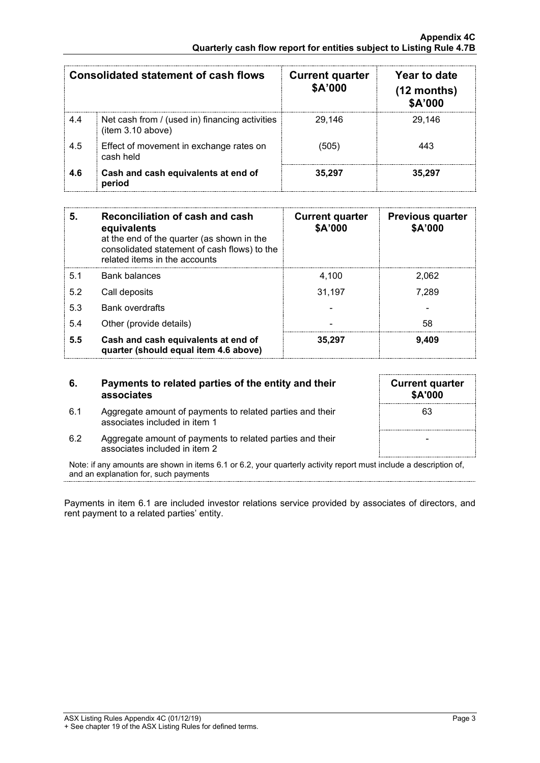| Consolidated statement of cash flows |                                                                     | <b>Current quarter</b><br>\$A'000 | Year to date<br>$(12$ months)<br>\$A'000 |
|--------------------------------------|---------------------------------------------------------------------|-----------------------------------|------------------------------------------|
| 4.4                                  | Net cash from / (used in) financing activities<br>(item 3.10 above) | 29.146                            | 29.146                                   |
| 4.5                                  | Effect of movement in exchange rates on<br>cash held                | (505)                             | 443                                      |
| 4.6                                  | Cash and cash equivalents at end of<br>period                       | 35,297                            | 35.297                                   |

| 5.  | Reconciliation of cash and cash<br>equivalents<br>at the end of the quarter (as shown in the<br>consolidated statement of cash flows) to the<br>related items in the accounts | <b>Current quarter</b><br>\$A'000 | <b>Previous quarter</b><br>\$A'000 |
|-----|-------------------------------------------------------------------------------------------------------------------------------------------------------------------------------|-----------------------------------|------------------------------------|
| 5.1 | Bank balances                                                                                                                                                                 | 4,100                             | 2.062                              |
| 5.2 | Call deposits                                                                                                                                                                 | 31,197                            | 7.289                              |
| 5.3 | <b>Bank overdrafts</b>                                                                                                                                                        |                                   |                                    |
| 5.4 | Other (provide details)                                                                                                                                                       |                                   | 58                                 |
| 5.5 | Cash and cash equivalents at end of<br>quarter (should equal item 4.6 above)                                                                                                  | 35.297                            | 9.409                              |

#### **6. Payments to related parties of the entity and their associates**

6.1 Aggregate amount of payments to related parties and their associates included in item 1

| <b>Current quarter</b><br>\$A'000 |  |
|-----------------------------------|--|
| 63                                |  |
|                                   |  |
|                                   |  |

6.2 Aggregate amount of payments to related parties and their associates included in item 2

Note: if any amounts are shown in items 6.1 or 6.2, your quarterly activity report must include a description of, and an explanation for, such payments

Payments in item 6.1 are included investor relations service provided by associates of directors, and rent payment to a related parties' entity.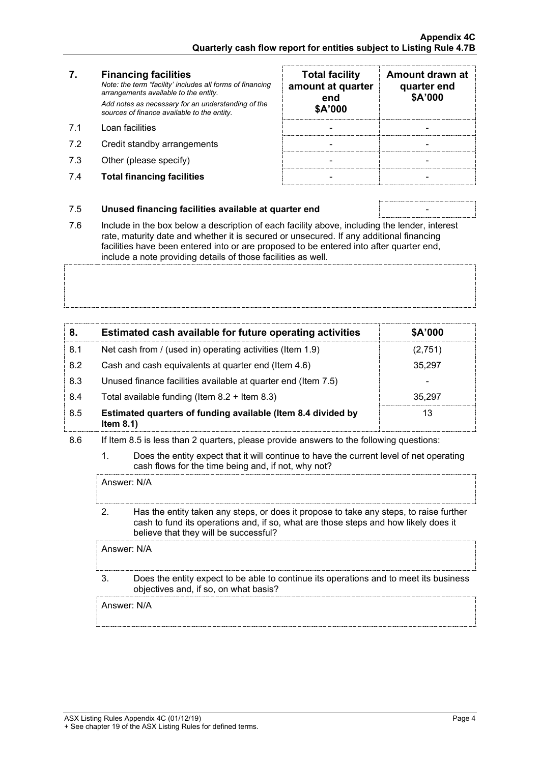## **7. Financing facilities**

*Note: the term "facility' includes all forms of financing arrangements available to the entity. Add notes as necessary for an understanding of the sources of finance available to the entity.*

- 7.1 Loan facilities
- 7.2 Credit standby arrangements
- 7.3 Other (please specify)
- 7.4 **Total financing facilities** -

| <b>Total facility</b><br>amount at quarter<br>end<br>\$A'000 | Amount drawn at<br>quarter end<br>\$A'000 |
|--------------------------------------------------------------|-------------------------------------------|
|                                                              |                                           |
|                                                              |                                           |
|                                                              |                                           |
|                                                              |                                           |

#### 7.5 **Unused financing facilities available at quarter end** -

7.6 Include in the box below a description of each facility above, including the lender, interest rate, maturity date and whether it is secured or unsecured. If any additional financing facilities have been entered into or are proposed to be entered into after quarter end, include a note providing details of those facilities as well.

| 8.  | Estimated cash available for future operating activities                     | \$A'000 |
|-----|------------------------------------------------------------------------------|---------|
| 8.1 | Net cash from / (used in) operating activities (Item 1.9)                    | (2,751) |
| 8.2 | Cash and cash equivalents at quarter end (Item 4.6)                          | 35,297  |
| 8.3 | Unused finance facilities available at quarter end (Item 7.5)                |         |
| 8.4 | Total available funding (Item $8.2 +$ Item $8.3$ )                           | 35.297  |
| 8.5 | Estimated quarters of funding available (Item 8.4 divided by<br>Item $8.1$ ) | 13      |

- 8.6 If Item 8.5 is less than 2 quarters, please provide answers to the following questions:
	- 1. Does the entity expect that it will continue to have the current level of net operating cash flows for the time being and, if not, why not?

Answer: N/A

2. Has the entity taken any steps, or does it propose to take any steps, to raise further cash to fund its operations and, if so, what are those steps and how likely does it believe that they will be successful?

Answer: N/A

3. Does the entity expect to be able to continue its operations and to meet its business objectives and, if so, on what basis?

Answer: N/A